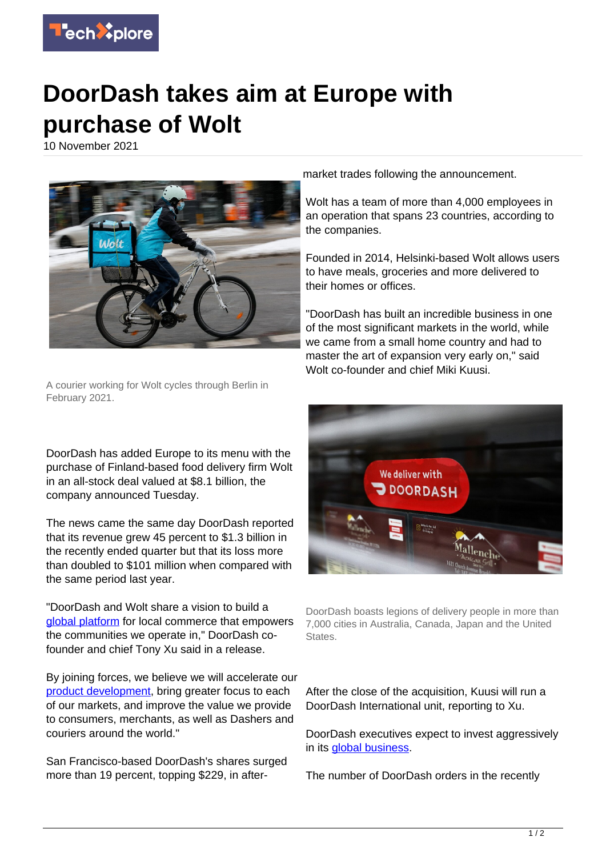

## **DoorDash takes aim at Europe with purchase of Wolt**

10 November 2021



A courier working for Wolt cycles through Berlin in February 2021.

DoorDash has added Europe to its menu with the purchase of Finland-based food delivery firm Wolt in an all-stock deal valued at \$8.1 billion, the company announced Tuesday.

The news came the same day DoorDash reported that its revenue grew 45 percent to \$1.3 billion in the recently ended quarter but that its loss more than doubled to \$101 million when compared with the same period last year.

"DoorDash and Wolt share a vision to build a [global platform](https://techxplore.com/tags/global+platform/) for local commerce that empowers the communities we operate in," DoorDash cofounder and chief Tony Xu said in a release.

By joining forces, we believe we will accelerate our [product development](https://techxplore.com/tags/product+development/), bring greater focus to each of our markets, and improve the value we provide to consumers, merchants, as well as Dashers and couriers around the world."

San Francisco-based DoorDash's shares surged more than 19 percent, topping \$229, in aftermarket trades following the announcement.

Wolt has a team of more than 4,000 employees in an operation that spans 23 countries, according to the companies.

Founded in 2014, Helsinki-based Wolt allows users to have meals, groceries and more delivered to their homes or offices.

"DoorDash has built an incredible business in one of the most significant markets in the world, while we came from a small home country and had to master the art of expansion very early on," said Wolt co-founder and chief Miki Kuusi.



DoorDash boasts legions of delivery people in more than 7,000 cities in Australia, Canada, Japan and the United States.

After the close of the acquisition, Kuusi will run a DoorDash International unit, reporting to Xu.

DoorDash executives expect to invest aggressively in its [global business.](https://techxplore.com/tags/global+business/)

The number of DoorDash orders in the recently